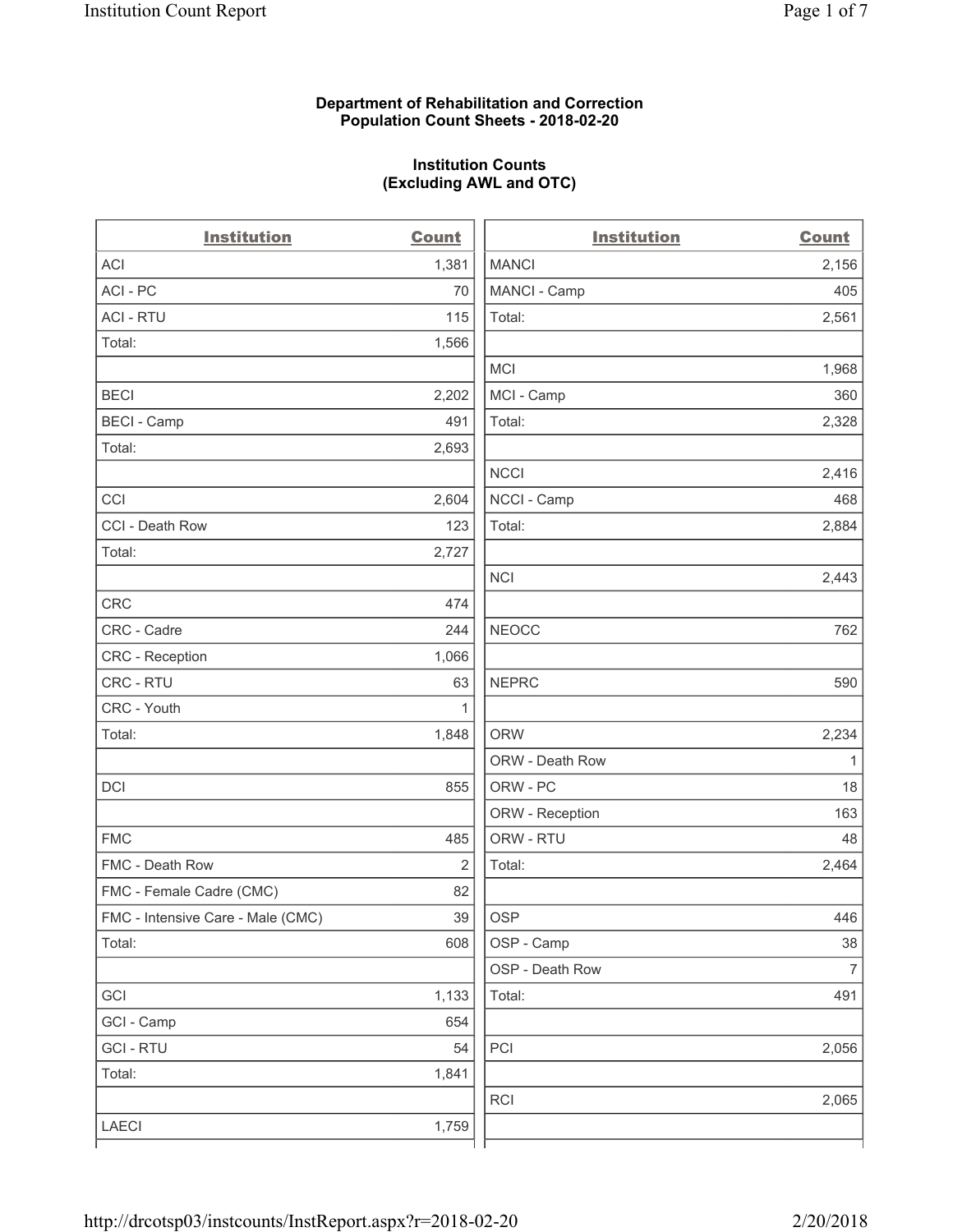#### **Department of Rehabilitation and Correction Population Count Sheets - 2018-02-20**

# **Institution Counts (Excluding AWL and OTC)**

| <b>Institution</b>                | <b>Count</b> | <b>Institution</b> | <b>Count</b>   |
|-----------------------------------|--------------|--------------------|----------------|
| <b>ACI</b>                        | 1,381        | <b>MANCI</b>       | 2,156          |
| ACI - PC                          | 70           | MANCI - Camp       | 405            |
| <b>ACI - RTU</b>                  | 115          | Total:             | 2,561          |
| Total:                            | 1,566        |                    |                |
|                                   |              | MCI                | 1,968          |
| <b>BECI</b>                       | 2,202        | MCI - Camp         | 360            |
| <b>BECI</b> - Camp                | 491          | Total:             | 2,328          |
| Total:                            | 2,693        |                    |                |
|                                   |              | <b>NCCI</b>        | 2,416          |
| CCI                               | 2,604        | NCCI - Camp        | 468            |
| CCI - Death Row                   | 123          | Total:             | 2,884          |
| Total:                            | 2,727        |                    |                |
|                                   |              | <b>NCI</b>         | 2,443          |
| <b>CRC</b>                        | 474          |                    |                |
| CRC - Cadre                       | 244          | <b>NEOCC</b>       | 762            |
| CRC - Reception                   | 1,066        |                    |                |
| CRC - RTU                         | 63           | <b>NEPRC</b>       | 590            |
| CRC - Youth                       | 1            |                    |                |
| Total:                            | 1,848        | <b>ORW</b>         | 2,234          |
|                                   |              | ORW - Death Row    | 1              |
| DCI                               | 855          | ORW - PC           | 18             |
|                                   |              | ORW - Reception    | 163            |
| <b>FMC</b>                        | 485          | ORW - RTU          | 48             |
| FMC - Death Row                   | 2            | Total:             | 2,464          |
| FMC - Female Cadre (CMC)          | 82           |                    |                |
| FMC - Intensive Care - Male (CMC) | 39           | OSP                | 446            |
| Total:                            | 608          | OSP - Camp         | 38             |
|                                   |              | OSP - Death Row    | $\overline{7}$ |
| GCI                               | 1,133        | Total:             | 491            |
| GCI - Camp                        | 654          |                    |                |
| <b>GCI-RTU</b>                    | 54           | PCI                | 2,056          |
| Total:                            | 1,841        |                    |                |
|                                   |              | <b>RCI</b>         | 2,065          |
| LAECI                             | 1,759        |                    |                |
|                                   |              |                    |                |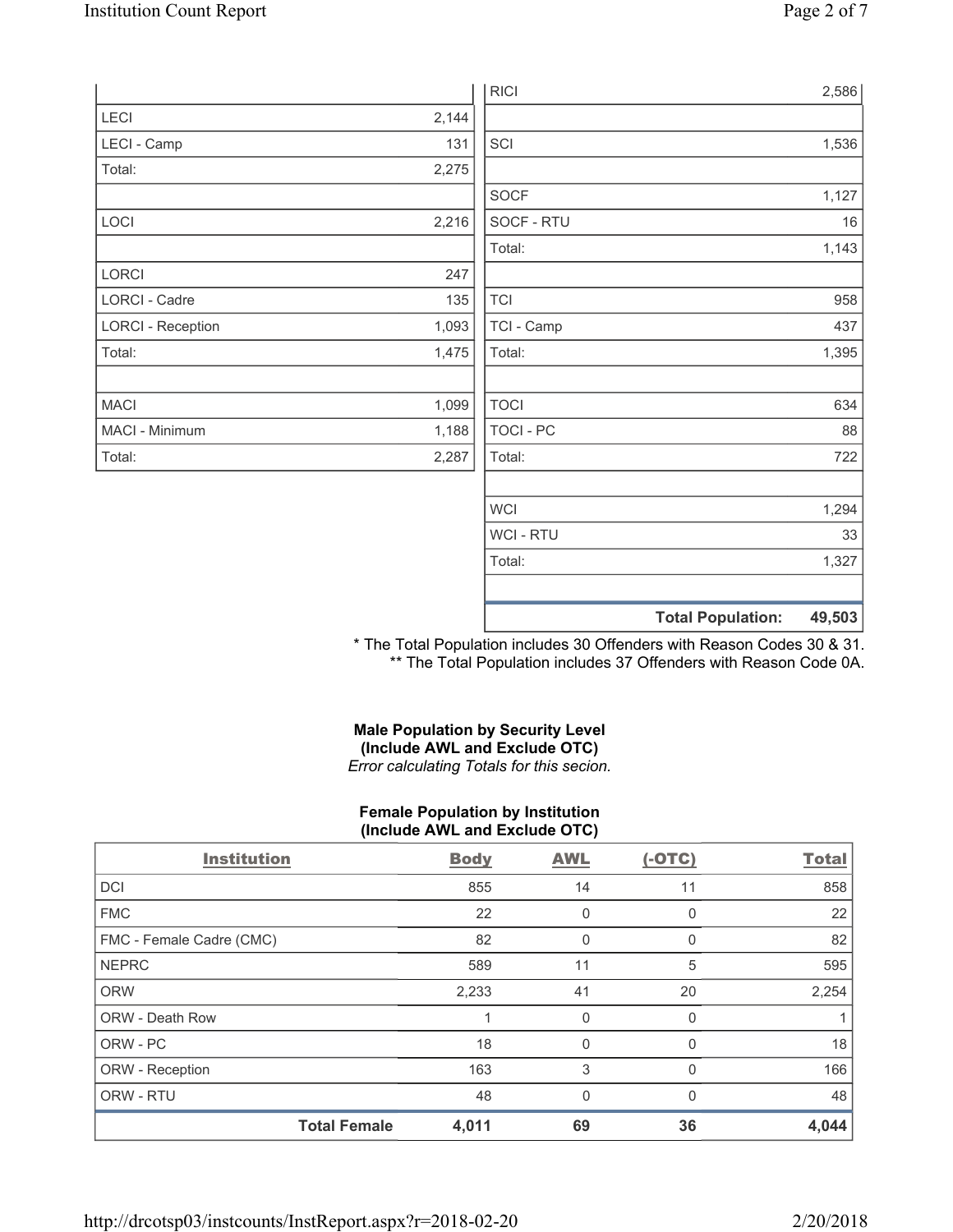|                          |       | <b>RICI</b>    |                          | 2,586  |
|--------------------------|-------|----------------|--------------------------|--------|
| LECI                     | 2,144 |                |                          |        |
| LECI - Camp              | 131   | SCI            |                          | 1,536  |
| Total:                   | 2,275 |                |                          |        |
|                          |       | SOCF           |                          | 1,127  |
| LOCI                     | 2,216 | SOCF - RTU     |                          | 16     |
|                          |       | Total:         |                          | 1,143  |
| LORCI                    | 247   |                |                          |        |
| LORCI - Cadre            | 135   | <b>TCI</b>     |                          | 958    |
| <b>LORCI - Reception</b> | 1,093 | TCI - Camp     |                          | 437    |
| Total:                   | 1,475 | Total:         |                          | 1,395  |
|                          |       |                |                          |        |
| <b>MACI</b>              | 1,099 | <b>TOCI</b>    |                          | 634    |
| MACI - Minimum           | 1,188 | TOCI - PC      |                          | 88     |
| Total:                   | 2,287 | Total:         |                          | 722    |
|                          |       |                |                          |        |
|                          |       | <b>WCI</b>     |                          | 1,294  |
|                          |       | <b>WCI-RTU</b> |                          | 33     |
|                          |       | Total:         |                          | 1,327  |
|                          |       |                |                          |        |
|                          |       |                | <b>Total Population:</b> | 49,503 |

\* The Total Population includes 30 Offenders with Reason Codes 30 & 31. \*\* The Total Population includes 37 Offenders with Reason Code 0A.

# **Male Population by Security Level (Include AWL and Exclude OTC)**  *Error calculating Totals for this secion.*

#### **Female Population by Institution (Include AWL and Exclude OTC)**

| <b>Institution</b>       | <b>Body</b> | <b>AWL</b>   | $(-OTC)$ | <b>Total</b> |
|--------------------------|-------------|--------------|----------|--------------|
| <b>DCI</b>               | 855         | 14           | 11       | 858          |
| <b>FMC</b>               | 22          | 0            | O        | 22           |
| FMC - Female Cadre (CMC) | 82          | 0            | 0        | 82           |
| <b>NEPRC</b>             | 589         | 11           | 5        | 595          |
| <b>ORW</b>               | 2,233       | 41           | 20       | 2,254        |
| <b>ORW - Death Row</b>   |             | 0            | 0        |              |
| ORW - PC                 | 18          | 0            | 0        | 18           |
| ORW - Reception          | 163         | 3            | $\Omega$ | 166          |
| ORW - RTU                | 48          | $\mathbf{0}$ | ∩        | 48           |
| <b>Total Female</b>      | 4,011       | 69           | 36       | 4,044        |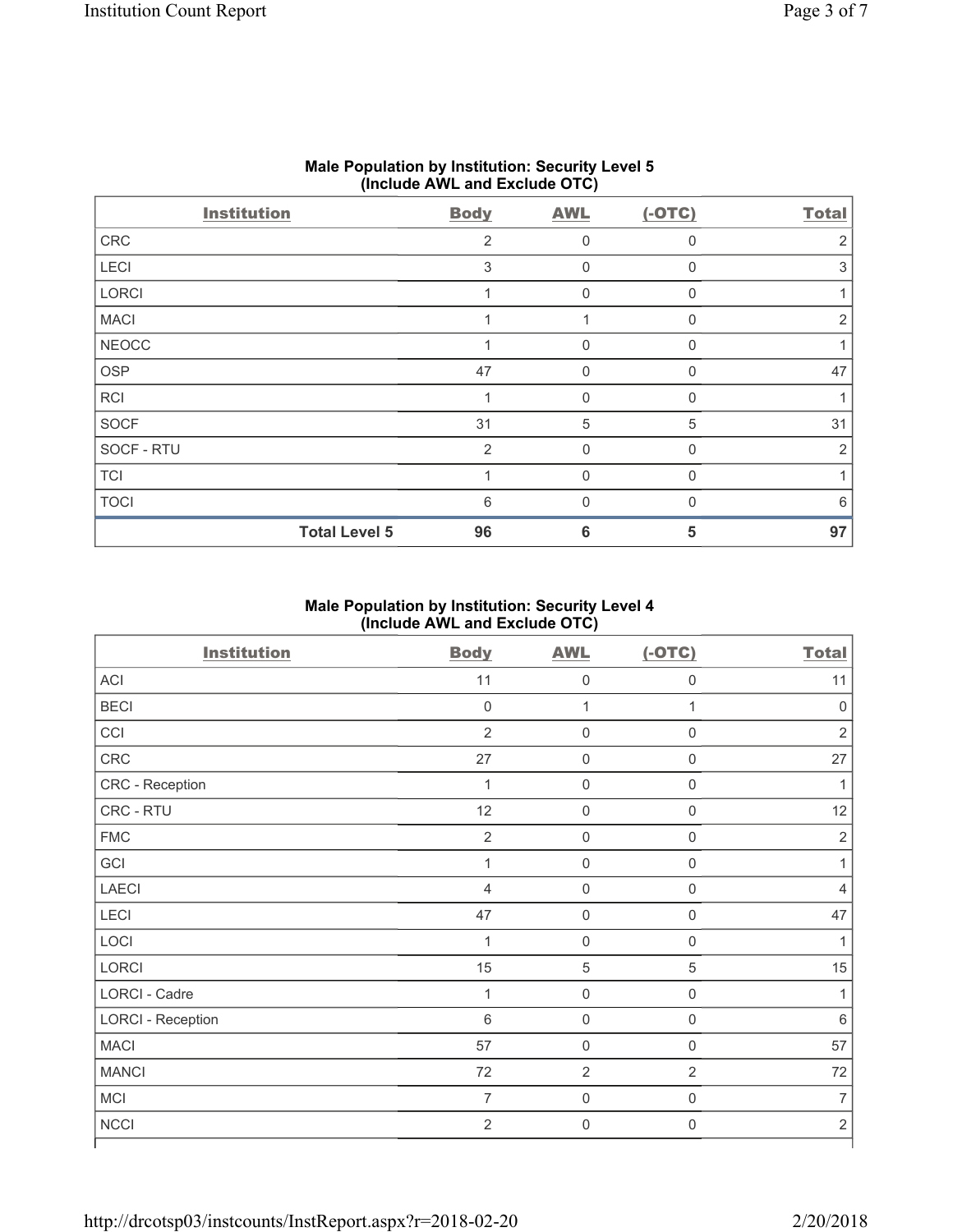|                    | $\cdot$<br>.         |             | .<br>$\overline{\phantom{a}}$ |              |                |
|--------------------|----------------------|-------------|-------------------------------|--------------|----------------|
| <b>Institution</b> |                      | <b>Body</b> | <b>AWL</b>                    | $(-OTC)$     | <b>Total</b>   |
| CRC                |                      | 2           | $\Omega$                      | $\Omega$     | 2              |
| LECI               |                      | 3           | 0                             | $\Omega$     | 3              |
| LORCI              |                      |             | 0                             | $\mathbf{0}$ |                |
| <b>MACI</b>        |                      |             |                               | $\Omega$     | $\overline{2}$ |
| <b>NEOCC</b>       |                      |             | $\mathbf 0$                   | $\Omega$     |                |
| OSP                |                      | 47          | $\mathbf 0$                   | $\Omega$     | 47             |
| <b>RCI</b>         |                      |             | 0                             | $\Omega$     |                |
| SOCF               |                      | 31          | 5                             | 5            | 31             |
| SOCF - RTU         |                      | 2           | 0                             | $\Omega$     | $\overline{2}$ |
| <b>TCI</b>         |                      |             | 0                             | $\Omega$     |                |
| <b>TOCI</b>        |                      | 6           | O                             |              | 6              |
|                    | <b>Total Level 5</b> | 96          | 6                             | 5            | 97             |

# **Male Population by Institution: Security Level 5 (Include AWL and Exclude OTC)**

#### **Male Population by Institution: Security Level 4 (Include AWL and Exclude OTC)**

| <b>Institution</b>       | <b>Body</b>    | <b>AWL</b>          | $(-OTC)$            | <b>Total</b>   |
|--------------------------|----------------|---------------------|---------------------|----------------|
| ACI                      | 11             | $\mathsf{O}\xspace$ | $\mathsf{O}\xspace$ | 11             |
| <b>BECI</b>              | 0              | 1                   | $\mathbf 1$         | $\pmb{0}$      |
| CCI                      | $\overline{2}$ | $\mathsf{O}\xspace$ | $\boldsymbol{0}$    | $\overline{2}$ |
| <b>CRC</b>               | 27             | $\mathsf{O}\xspace$ | $\mathsf{O}\xspace$ | 27             |
| CRC - Reception          | $\mathbf{1}$   | $\mathsf{O}\xspace$ | $\mathsf{O}\xspace$ | 1              |
| CRC - RTU                | 12             | $\mathsf{O}\xspace$ | $\mathsf{O}\xspace$ | 12             |
| <b>FMC</b>               | $\overline{2}$ | $\mathsf{O}\xspace$ | $\boldsymbol{0}$    | $\mathbf 2$    |
| GCI                      | $\mathbf 1$    | $\mathsf{O}\xspace$ | $\boldsymbol{0}$    | 1              |
| <b>LAECI</b>             | 4              | $\mathsf{O}\xspace$ | $\mathbf 0$         | 4              |
| LECI                     | 47             | $\mathsf{O}\xspace$ | $\mathsf{O}\xspace$ | 47             |
| LOCI                     | 1              | $\mathsf{O}\xspace$ | $\boldsymbol{0}$    | 1              |
| <b>LORCI</b>             | 15             | $\mathbf 5$         | 5                   | 15             |
| <b>LORCI - Cadre</b>     | $\mathbf 1$    | $\mathsf{O}\xspace$ | $\mathsf{O}\xspace$ | 1              |
| <b>LORCI - Reception</b> | 6              | $\mathsf 0$         | $\mathsf{O}\xspace$ | $\,6$          |
| <b>MACI</b>              | 57             | $\mathsf{O}\xspace$ | $\boldsymbol{0}$    | 57             |
| <b>MANCI</b>             | 72             | $\overline{2}$      | $\overline{2}$      | 72             |
| MCI                      | $\overline{7}$ | $\mathsf{O}\xspace$ | $\boldsymbol{0}$    | $\overline{7}$ |
| <b>NCCI</b>              | $\overline{2}$ | $\mathsf{O}\xspace$ | $\boldsymbol{0}$    | $\mathbf 2$    |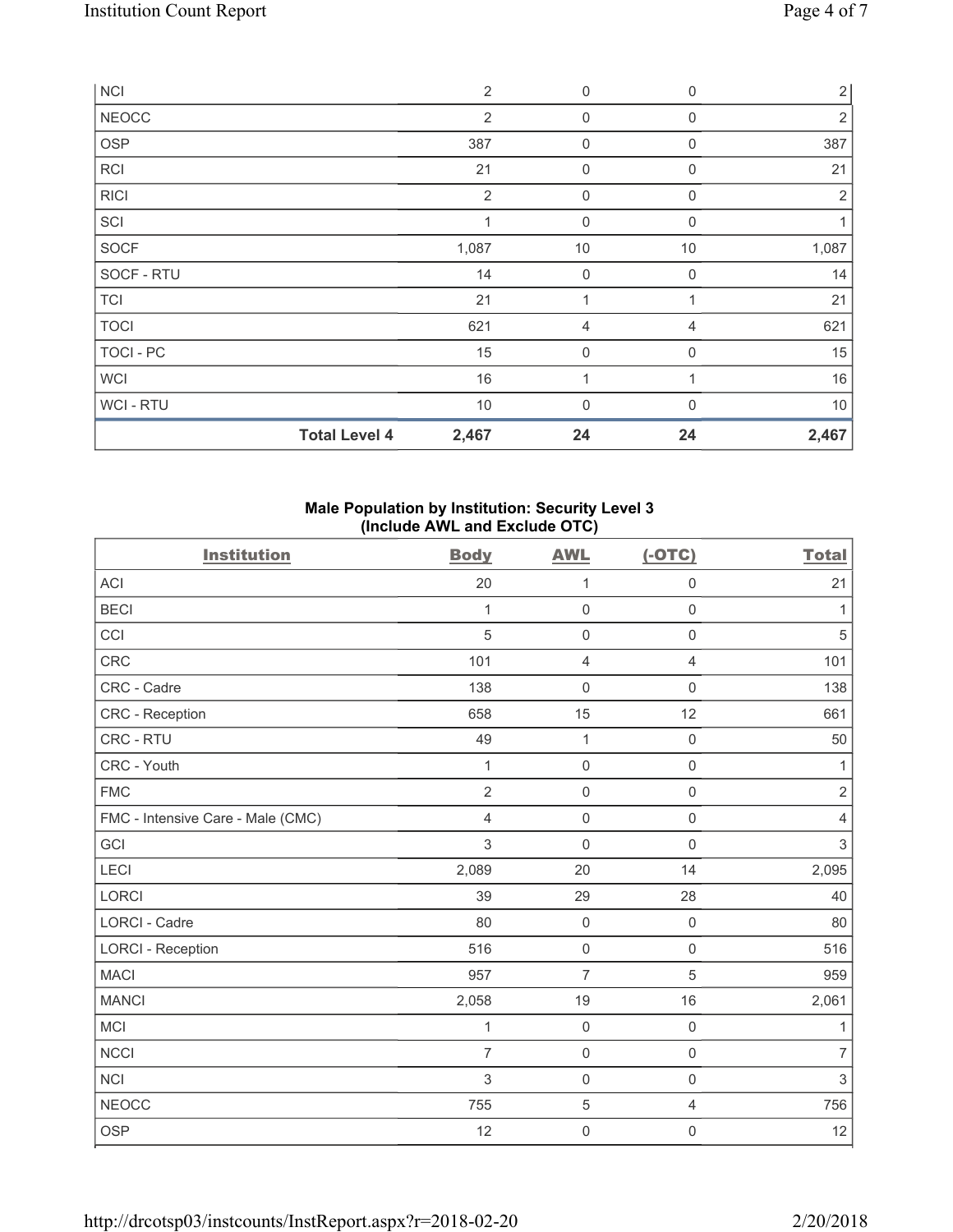| <b>NCI</b>       |                      | $\overline{2}$ | 0           | $\mathbf 0$ | $\overline{2}$ |
|------------------|----------------------|----------------|-------------|-------------|----------------|
| <b>NEOCC</b>     |                      | $\overline{2}$ | 0           | 0           | 2              |
| OSP              |                      | 387            | $\mathbf 0$ | $\mathbf 0$ | 387            |
| RCI              |                      | 21             | 0           | 0           | 21             |
| <b>RICI</b>      |                      | $\overline{2}$ | 0           | 0           | 2              |
| SCI              |                      | 1              | $\mathbf 0$ | $\mathbf 0$ |                |
| SOCF             |                      | 1,087          | 10          | 10          | 1,087          |
| SOCF - RTU       |                      | 14             | 0           | $\Omega$    | 14             |
| <b>TCI</b>       |                      | 21             | 1           |             | 21             |
| <b>TOCI</b>      |                      | 621            | 4           | 4           | 621            |
| <b>TOCI - PC</b> |                      | 15             | $\mathbf 0$ | $\mathbf 0$ | 15             |
| WCI              |                      | 16             | 1           |             | 16             |
| WCI - RTU        |                      | $10$           | $\mathbf 0$ | U           | $10$           |
|                  | <b>Total Level 4</b> | 2,467          | 24          | 24          | 2,467          |

#### **Male Population by Institution: Security Level 3 (Include AWL and Exclude OTC)**

| <b>Institution</b>                | <b>Body</b>    | <b>AWL</b>          | $(-OTC)$            | <b>Total</b>   |
|-----------------------------------|----------------|---------------------|---------------------|----------------|
| <b>ACI</b>                        | 20             | 1                   | 0                   | 21             |
| <b>BECI</b>                       | 1              | $\mathsf{O}\xspace$ | $\mathsf{O}\xspace$ | 1              |
| CCI                               | 5              | $\mathsf{O}\xspace$ | $\mathsf 0$         | $\overline{5}$ |
| CRC                               | 101            | $\overline{4}$      | $\overline{4}$      | 101            |
| CRC - Cadre                       | 138            | $\mathsf 0$         | $\mathbf 0$         | 138            |
| <b>CRC</b> - Reception            | 658            | 15                  | 12                  | 661            |
| CRC - RTU                         | 49             | $\mathbf{1}$        | $\mathsf{O}\xspace$ | 50             |
| CRC - Youth                       | $\mathbf{1}$   | $\mathsf{O}\xspace$ | $\mathsf 0$         | 1              |
| <b>FMC</b>                        | $\overline{2}$ | $\mathsf{O}\xspace$ | 0                   | $\sqrt{2}$     |
| FMC - Intensive Care - Male (CMC) | 4              | $\mathsf{O}\xspace$ | $\mathsf{O}\xspace$ | $\overline{4}$ |
| GCI                               | 3              | $\mathbf 0$         | $\mathsf{O}\xspace$ | $\mathfrak{S}$ |
| LECI                              | 2,089          | 20                  | 14                  | 2,095          |
| <b>LORCI</b>                      | 39             | 29                  | 28                  | 40             |
| LORCI - Cadre                     | 80             | $\mathsf{O}\xspace$ | $\mathsf{O}\xspace$ | 80             |
| <b>LORCI - Reception</b>          | 516            | $\mathsf{O}\xspace$ | $\mathsf{O}\xspace$ | 516            |
| <b>MACI</b>                       | 957            | $\overline{7}$      | 5                   | 959            |
| <b>MANCI</b>                      | 2,058          | 19                  | 16                  | 2,061          |
| <b>MCI</b>                        | 1              | $\mathsf{O}\xspace$ | $\mathsf{O}\xspace$ | 1              |
| <b>NCCI</b>                       | $\overline{7}$ | $\mathsf{O}\xspace$ | $\mathsf 0$         | $\overline{7}$ |
| <b>NCI</b>                        | 3              | $\mathsf{O}\xspace$ | $\mathsf 0$         | $\mathsf 3$    |
| <b>NEOCC</b>                      | 755            | $\,$ 5 $\,$         | 4                   | 756            |
| <b>OSP</b>                        | 12             | $\mathsf{O}\xspace$ | 0                   | 12             |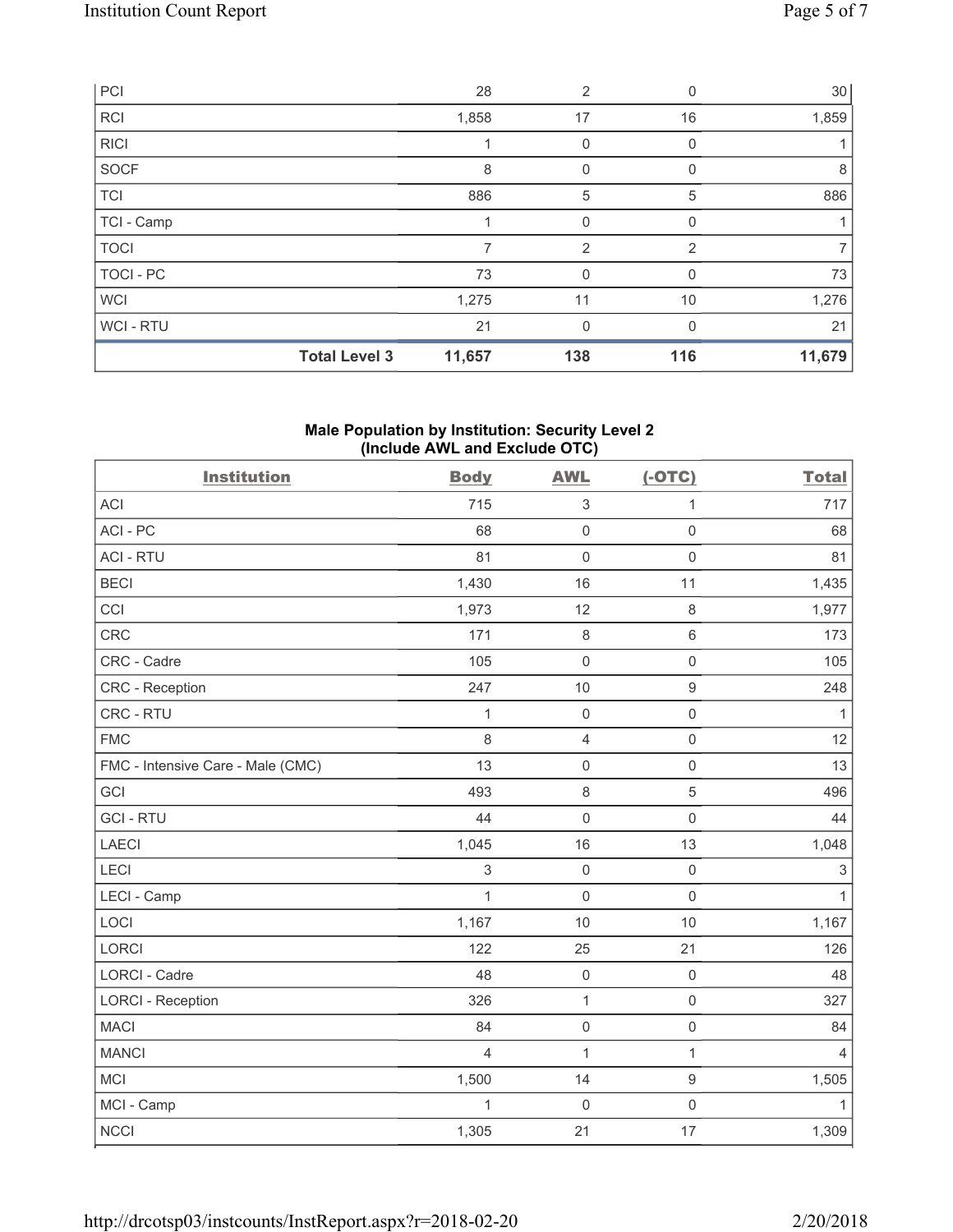|                  | <b>Total Level 3</b> | 11,657 | 138            | 116      | 11,679 |
|------------------|----------------------|--------|----------------|----------|--------|
| WCI-RTU          |                      | 21     | 0              |          | 21     |
| <b>WCI</b>       |                      | 1,275  | 11             | 10       | 1,276  |
| <b>TOCI - PC</b> |                      | 73     | 0              | 0        | 73     |
| <b>TOCI</b>      |                      | 7      | $\overline{2}$ | 2        | 7      |
| TCI - Camp       |                      |        | $\mathbf 0$    | $\Omega$ | 1      |
| <b>TCI</b>       |                      | 886    | 5              | 5        | 886    |
| SOCF             |                      | 8      | 0              |          | 8      |
| RICI             |                      |        | 0              | 0        |        |
| <b>RCI</b>       |                      | 1,858  | 17             | 16       | 1,859  |
| PCI              |                      | 28     | $\overline{2}$ | 0        | 30     |

# **Male Population by Institution: Security Level 2 (Include AWL and Exclude OTC)**

| <b>Institution</b>                | <b>Body</b>    | <b>AWL</b>          | $(-OTC)$            | <b>Total</b>   |
|-----------------------------------|----------------|---------------------|---------------------|----------------|
| <b>ACI</b>                        | 715            | $\mathsf 3$         | 1                   | 717            |
| ACI - PC                          | 68             | $\mathsf{O}\xspace$ | $\mathsf{O}\xspace$ | 68             |
| <b>ACI - RTU</b>                  | 81             | $\mathsf{O}\xspace$ | $\mathsf{O}\xspace$ | 81             |
| <b>BECI</b>                       | 1,430          | 16                  | 11                  | 1,435          |
| CCI                               | 1,973          | 12                  | $\,8\,$             | 1,977          |
| <b>CRC</b>                        | 171            | $\,8\,$             | $\,6\,$             | 173            |
| CRC - Cadre                       | 105            | $\mathsf{O}\xspace$ | $\mathsf 0$         | 105            |
| CRC - Reception                   | 247            | 10                  | $\mathsf g$         | 248            |
| CRC - RTU                         | $\mathbf{1}$   | $\mathsf{O}\xspace$ | $\mathsf{O}\xspace$ | 1              |
| <b>FMC</b>                        | 8              | $\overline{4}$      | $\mathsf{O}\xspace$ | 12             |
| FMC - Intensive Care - Male (CMC) | 13             | $\mathsf{O}\xspace$ | $\mathsf{O}\xspace$ | 13             |
| GCI                               | 493            | $\,8\,$             | $\sqrt{5}$          | 496            |
| <b>GCI-RTU</b>                    | 44             | $\mathsf{O}\xspace$ | $\mathsf{O}\xspace$ | 44             |
| LAECI                             | 1,045          | 16                  | 13                  | 1,048          |
| LECI                              | 3              | $\mathsf{O}\xspace$ | $\mathsf{O}\xspace$ | $\sqrt{3}$     |
| LECI - Camp                       | $\mathbf{1}$   | $\mathsf{O}\xspace$ | $\mathsf{O}\xspace$ | $\mathbf{1}$   |
| LOCI                              | 1,167          | 10                  | 10                  | 1,167          |
| LORCI                             | 122            | 25                  | 21                  | 126            |
| LORCI - Cadre                     | 48             | $\mathsf{O}\xspace$ | $\mathsf 0$         | 48             |
| <b>LORCI - Reception</b>          | 326            | $\mathbf 1$         | $\mathsf{O}\xspace$ | 327            |
| <b>MACI</b>                       | 84             | $\mathsf{O}\xspace$ | $\mathsf{O}\xspace$ | 84             |
| <b>MANCI</b>                      | $\overline{4}$ | 1                   | $\mathbf{1}$        | $\overline{4}$ |
| <b>MCI</b>                        | 1,500          | 14                  | $\boldsymbol{9}$    | 1,505          |
| MCI - Camp                        | $\mathbf{1}$   | $\mathbf 0$         | $\mathsf 0$         | $\mathbf{1}$   |
| <b>NCCI</b>                       | 1,305          | 21                  | 17                  | 1,309          |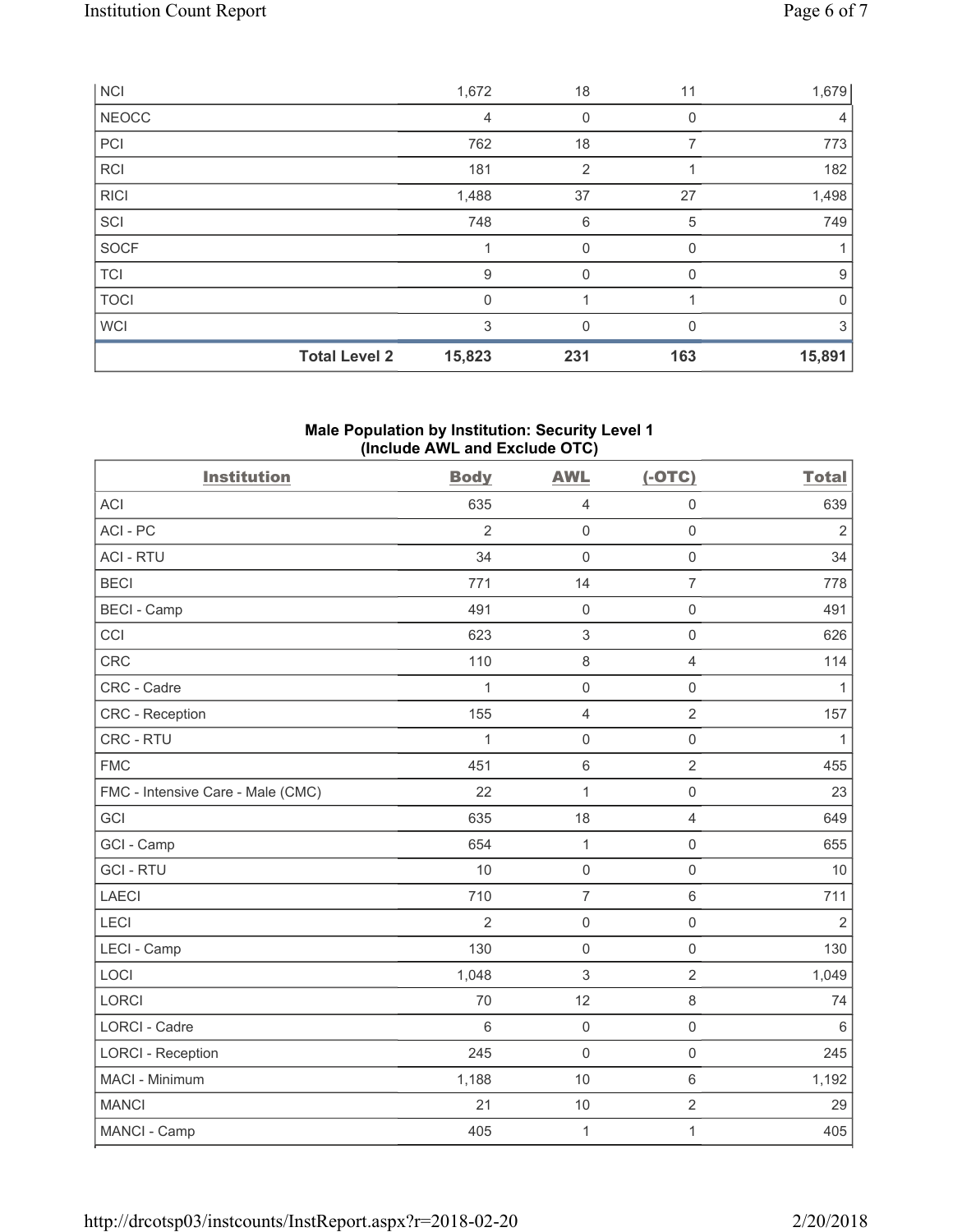| <b>NCI</b>  |                      | 1,672        | 18             | 11           | 1,679       |
|-------------|----------------------|--------------|----------------|--------------|-------------|
| NEOCC       |                      | 4            | 0              | 0            | 4           |
| PC          |                      | 762          | 18             |              | 773         |
| RCI         |                      | 181          | $\overline{2}$ |              | 182         |
| <b>RICI</b> |                      | 1,488        | 37             | 27           | 1,498       |
| SCI         |                      | 748          | 6              | 5            | 749         |
| SOCF        |                      | 1            | 0              | <sup>0</sup> |             |
| <b>TCI</b>  |                      | 9            | 0              | 0            | 9           |
| <b>TOCI</b> |                      | $\mathbf{0}$ |                |              | $\mathbf 0$ |
| <b>WCI</b>  |                      | 3            | 0              |              | 3           |
|             | <b>Total Level 2</b> | 15,823       | 231            | 163          | 15,891      |

# **Male Population by Institution: Security Level 1 (Include AWL and Exclude OTC)**

| <b>Institution</b>                | <b>Body</b>    | <b>AWL</b>                | $(-OTC)$            | <b>Total</b>   |
|-----------------------------------|----------------|---------------------------|---------------------|----------------|
| <b>ACI</b>                        | 635            | $\overline{4}$            | $\mathsf{O}\xspace$ | 639            |
| ACI - PC                          | $\overline{2}$ | $\mathsf{O}\xspace$       | $\mathsf{O}\xspace$ | $\overline{2}$ |
| <b>ACI - RTU</b>                  | 34             | $\mathsf{O}\xspace$       | $\mathsf{O}\xspace$ | 34             |
| <b>BECI</b>                       | 771            | 14                        | $\overline{7}$      | 778            |
| <b>BECI - Camp</b>                | 491            | $\mathsf{O}\xspace$       | $\mathsf{O}\xspace$ | 491            |
| CCI                               | 623            | $\ensuremath{\mathsf{3}}$ | $\mathsf{O}\xspace$ | 626            |
| CRC                               | 110            | 8                         | $\overline{4}$      | 114            |
| CRC - Cadre                       | 1              | $\mathsf{O}\xspace$       | $\mathsf 0$         | 1              |
| <b>CRC</b> - Reception            | 155            | $\overline{4}$            | $\overline{2}$      | 157            |
| CRC - RTU                         | $\mathbf{1}$   | $\mathsf{O}\xspace$       | $\mathsf 0$         | 1              |
| <b>FMC</b>                        | 451            | $\,6\,$                   | $\sqrt{2}$          | 455            |
| FMC - Intensive Care - Male (CMC) | 22             | 1                         | $\mathsf{O}\xspace$ | 23             |
| GCI                               | 635            | 18                        | $\overline{4}$      | 649            |
| GCI - Camp                        | 654            | $\mathbf{1}$              | $\mathsf{O}\xspace$ | 655            |
| <b>GCI-RTU</b>                    | 10             | $\mathsf{O}\xspace$       | $\mathsf{O}\xspace$ | 10             |
| <b>LAECI</b>                      | 710            | $\overline{7}$            | $\,6\,$             | 711            |
| LECI                              | $\overline{2}$ | $\mathsf{O}\xspace$       | $\mathsf{O}\xspace$ | $\overline{2}$ |
| LECI - Camp                       | 130            | $\mathsf{O}\xspace$       | $\mathsf{O}\xspace$ | 130            |
| LOCI                              | 1,048          | $\sqrt{3}$                | $\overline{2}$      | 1,049          |
| LORCI                             | 70             | 12                        | $\,8\,$             | 74             |
| <b>LORCI - Cadre</b>              | 6              | $\mathsf{O}\xspace$       | $\mathsf 0$         | $\,6\,$        |
| <b>LORCI - Reception</b>          | 245            | $\mathsf{O}\xspace$       | $\mathsf 0$         | 245            |
| MACI - Minimum                    | 1,188          | 10                        | $\,6\,$             | 1,192          |
| <b>MANCI</b>                      | 21             | 10                        | $\sqrt{2}$          | 29             |
| MANCI - Camp                      | 405            | $\mathbf 1$               | $\mathbf{1}$        | 405            |